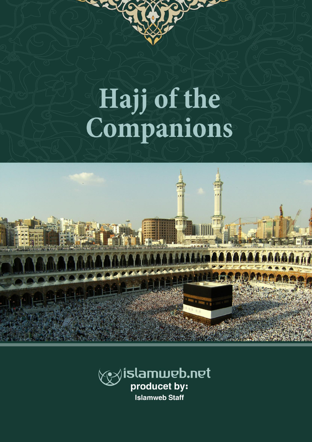# Hajj of the<br>Companions

DO

RY



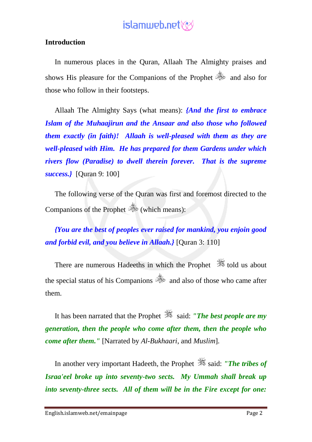#### **Introduction**

In numerous places in the Quran, Allaah The Almighty praises and shows His pleasure for the Companions of the Prophet **companies** and also for those who follow in their footsteps.

Allaah The Almighty Says (what means): *{And the first to embrace Islam of the Muhaajirun and the Ansaar and also those who followed them exactly (in faith)! Allaah is well-pleased with them as they are well-pleased with Him. He has prepared for them Gardens under which rivers flow (Paradise) to dwell therein forever. That is the supreme success.}* [Quran 9: 100]

The following verse of the Quran was first and foremost directed to the Companions of the Prophet (which means):

*{You are the best of peoples ever raised for mankind, you enjoin good and forbid evil, and you believe in Allaah.}* [Quran 3: 110]

There are numerous Hadeeths in which the Prophet <sup>\$</sup> told us about the special status of his Companions  $\ddot{\ddot{\phi}}$  and also of those who came after them.

It has been narrated that the Prophet  $\frac{36}{25}$  said: *"The best people are my generation, then the people who come after them, then the people who come after them."* [Narrated by *Al-Bukhaari*, and *Muslim*].

In another very important Hadeeth, the Prophet said: *"The tribes of Israa'eel broke up into seventy-two sects. My Ummah shall break up into seventy-three sects. All of them will be in the Fire except for one:*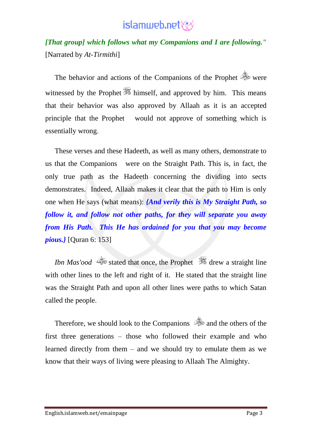*[That group] which follows what my Companions and I are following."* [Narrated by *At-Tirmithi*]

The behavior and actions of the Companions of the Prophet  $\ddot{\otimes}$  were witnessed by the Prophet **s** himself, and approved by him. This means that their behavior was also approved by Allaah as it is an accepted principle that the Prophet would not approve of something which is essentially wrong.

These verses and these Hadeeth, as well as many others, demonstrate to us that the Companions were on the Straight Path. This is, in fact, the only true path as the Hadeeth concerning the dividing into sects demonstrates. Indeed, Allaah makes it clear that the path to Him is only one when He says (what means): *{And verily this is My Straight Path, so follow it, and follow not other paths, for they will separate you away from His Path. This He has ordained for you that you may become pious.}* [Quran 6: 153]

*Ibn Mas'ood* stated that once, the Prophet drew a straight line with other lines to the left and right of it. He stated that the straight line was the Straight Path and upon all other lines were paths to which Satan called the people.

Therefore, we should look to the Companions  $\frac{360}{100}$  and the others of the first three generations – those who followed their example and who learned directly from them – and we should try to emulate them as we know that their ways of living were pleasing to Allaah The Almighty.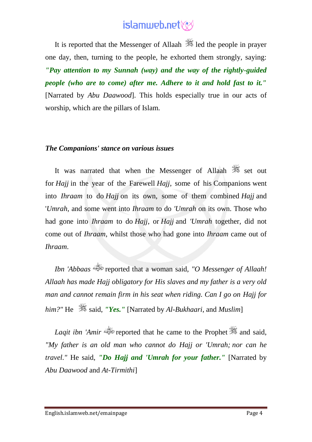It is reported that the Messenger of Allaah  $\frac{1}{2}$  led the people in prayer one day, then, turning to the people, he exhorted them strongly, saying: *"Pay attention to my Sunnah (way) and the way of the rightly-guided people (who are to come) after me. Adhere to it and hold fast to it."* [Narrated by *Abu Daawood*]. This holds especially true in our acts of worship, which are the pillars of Islam.

#### *The Companions' stance on various issues*

It was narrated that when the Messenger of Allaah  $\frac{360}{100}$  set out for *Hajj* in the year of the Farewell *Hajj*, some of his Companions went into *Ihraam* to do *Hajj* on its own, some of them combined *Hajj* and '*Umrah*, and some went into *Ihraam* to do *'Umrah* on its own. Those who had gone into *Ihraam* to do *Hajj*, or *Hajj* and *'Umrah* together, did not come out of *Ihraam*, whilst those who had gone into *Ihraam* came out of *Ihraam*.

*Ibn 'Abbaas* reported that a woman said, *"O Messenger of Allaah! Allaah has made Hajj obligatory for His slaves and my father is a very old man and cannot remain firm in his seat when riding. Can I go on Hajj for him?"* He  $\frac{36}{26}$  said, *"Yes."* [Narrated by *Al-Bukhaari*, and *Muslim*]

*Lagit ibn 'Amir* reported that he came to the Prophet **3** and said, *"My father is an old man who cannot do Hajj or 'Umrah; nor can he travel."* He said, *"Do Hajj and 'Umrah for your father."* [Narrated by *Abu Daawood* and *At-Tirmithi*]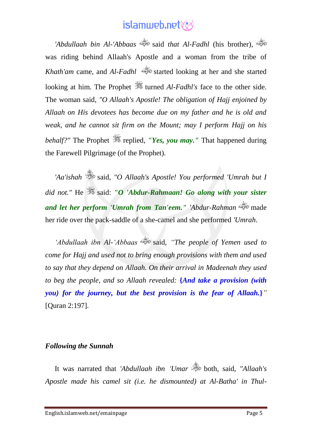*'Abdullaah bin Al-'Abbaas* said *that Al-Fadhl* (his brother), was riding behind Allaah's Apostle and a woman from the tribe of *Khath'am* came, and *Al-Fadhl* started looking at her and she started looking at him. The Prophet  $\frac{dS}{dx}$  turned *Al-Fadhl's* face to the other side. The woman said, *"O Allaah's Apostle! The obligation of Hajj enjoined by Allaah on His devotees has become due on my father and he is old and weak, and he cannot sit firm on the Mount; may I perform Hajj on his behalf?"* The Prophet  $\frac{d}{dx}$  replied, *"Yes, you may."* That happened during the Farewell Pilgrimage (of the Prophet).

*'Aa'ishah* said, *"O Allaah's Apostle! You performed 'Umrah but I did not."* He  $\ddot{\mathscr{E}}$  said: *"O 'Abdur-Rahmaan! Go along with your sister and let her perform 'Umrah from Tan'eem." 'Abdur-Rahman* made her ride over the pack-saddle of a she-camel and she performed *'Umrah*.

*'Abdullaah ibn Al-'Abbaas* said, *"The people of Yemen used to come for Hajj and used not to bring enough provisions with them and used to say that they depend on Allaah. On their arrival in Madeenah they used to beg the people, and so Allaah revealed:* **{***And take a provision (with you) for the journey, but the best provision is the fear of Allaah.***}***"* [Quran 2:197].

#### *Following the Sunnah*

It was narrated that *'Abdullaah ibn 'Umar* shoth, said, "Allaah's *Apostle made his camel sit (i.e. he dismounted) at Al-Batha' in Thul-*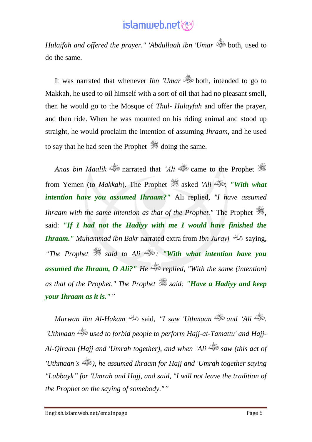*Hulaifah and offered the prayer." 'Abdullaah ibn 'Umar* both, used to do the same.

It was narrated that whenever *Ibn 'Umar* shoth, intended to go to Makkah, he used to oil himself with a sort of oil that had no pleasant smell, then he would go to the Mosque of *Thul- Hulayfah* and offer the prayer, and then ride. When he was mounted on his riding animal and stood up straight, he would proclaim the intention of assuming *Ihraam*, and he used to say that he had seen the Prophet  $\mathcal{F}$  doing the same.

*Anas bin Maalik* narrated that *'Ali* came to the Prophet from Yemen (to *Makkah*). The Prophet  $\frac{dE}{dx}$  asked 'Ali  $\frac{dE}{dx}$ : "With what *intention have you assumed Ihraam?"* Ali replied, *"I have assumed Ihraam with the same intention as that of the Prophet."* The Prophet  $\ddot{\mathscr{F}}$ . said: *"If I had not the Hadiyy with me I would have finished the Ihraam." Muhammad ibn Bakr* narrated extra from *Ibn Jurayj* saying, *"The Prophet said to Ali : "With what intention have you assumed the Ihraam, O Ali?" He replied, "With the same (intention) as that of the Prophet." The Prophet said: "Have a Hadiyy and keep your Ihraam as it is.""*

*Marwan ibn Al-Hakam* said, *"I saw 'Uthmaan and 'Ali . 'Uthmaan used to forbid people to perform Hajj-at-Tamattu' and Hajj-Al-Qiraan (Hajj and 'Umrah together), and when 'Ali saw (this act of 'Uthmaan's ), he assumed Ihraam for Hajj and 'Umrah together saying "Labbayk" for 'Umrah and Hajj, and said, "I will not leave the tradition of the Prophet on the saying of somebody.""*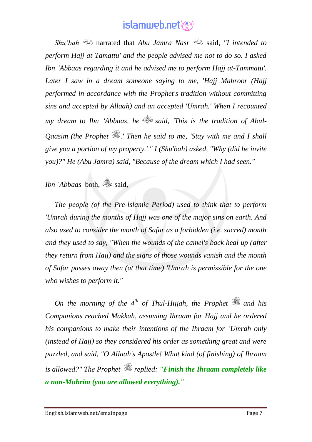*Shu'bah* narrated that *Abu Jamra Nasr* said, *"I intended to perform Hajj at-Tamattu' and the people advised me not to do so. I asked Ibn 'Abbaas regarding it and he advised me to perform Hajj at-Tammatu'. Later I saw in a dream someone saying to me, 'Hajj Mabroor (Hajj performed in accordance with the Prophet's tradition without committing sins and accepted by Allaah) and an accepted 'Umrah.' When I recounted my dream to Ibn 'Abbaas, he said, 'This is the tradition of Abul-Qaasim (the Prophet .' Then he said to me, 'Stay with me and I shall give you a portion of my property.' " I (Shu'bah) asked, "Why (did he invite you)?" He (Abu Jamra) said, "Because of the dream which I had seen."*

*Ibn 'Abbaas* both,  $\overset{\circ}{\Leftrightarrow}$  said,

*The people (of the Pre-lslamic Period) used to think that to perform 'Umrah during the months of Hajj was one of the major sins on earth. And also used to consider the month of Safar as a forbidden (i.e. sacred) month and they used to say, "When the wounds of the camel's back heal up (after they return from Hajj) and the signs of those wounds vanish and the month of Safar passes away then (at that time) 'Umrah is permissible for the one who wishes to perform it."* 

*On the morning of the 4<sup>th</sup> of Thul-Hijjah, the Prophet*  $\mathcal{F}$  and his *Companions reached Makkah, assuming Ihraam for Hajj and he ordered his companions to make their intentions of the Ihraam for 'Umrah only (instead of Hajj) so they considered his order as something great and were puzzled, and said, "O Allaah's Apostle! What kind (of finishing) of Ihraam is allowed?" The Prophet replied: "Finish the Ihraam completely like a non-Muhrim (you are allowed everything)."*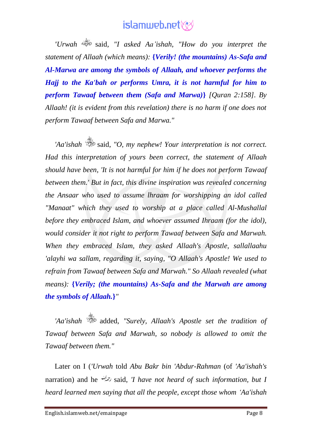*'Urwah* said*, "I asked Aa'ishah, "How do you interpret the statement of Allaah (which means):* **{***Verily! (the mountains) As-Safa and Al-Marwa are among the symbols of Allaah, and whoever performs the Hajj to the Ka'bah or performs Umra, it is not harmful for him to perform Tawaaf between them (Safa and Marwa)***}** *[Quran 2:158]. By Allaah! (it is evident from this revelation) there is no harm if one does not perform Tawaaf between Safa and Marwa."*

*'Aa'ishah* said, *"O, my nephew! Your interpretation is not correct. Had this interpretation of yours been correct, the statement of Allaah should have been, 'It is not harmful for him if he does not perform Tawaaf between them.' But in fact, this divine inspiration was revealed concerning the Ansaar who used to assume lhraam for worshipping an idol called "Manaat" which they used to worship at a place called Al-Mushallal before they embraced Islam, and whoever assumed Ihraam (for the idol), would consider it not right to perform Tawaaf between Safa and Marwah. When they embraced Islam, they asked Allaah's Apostle, sallallaahu 'alayhi wa sallam, regarding it, saying, "O Allaah's Apostle! We used to refrain from Tawaaf between Safa and Marwah." So Allaah revealed (what means):* **{***Verily; (the mountains) As-Safa and the Marwah are among the symbols of Allaah.***}***"* 

*'Aa'ishah* added, *"Surely, Allaah's Apostle set the tradition of Tawaaf between Safa and Marwah, so nobody is allowed to omit the Tawaaf between them."* 

Later on I (*'Urwah* told *Abu Bakr bin 'Abdur-Rahman* (of *'Aa'ishah's* narration) and he said, *'I have not heard of such information, but I heard learned men saying that all the people, except those whom 'Aa'ishah*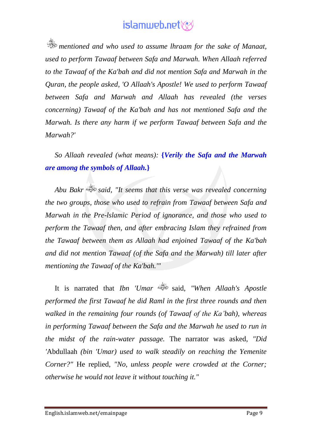*mentioned and who used to assume lhraam for the sake of Manaat, used to perform Tawaaf between Safa and Marwah. When Allaah referred to the Tawaaf of the Ka'bah and did not mention Safa and Marwah in the Quran, the people asked, 'O Allaah's Apostle! We used to perform Tawaaf between Safa and Marwah and Allaah has revealed (the verses concerning) Tawaaf of the Ka'bah and has not mentioned Safa and the Marwah. Is there any harm if we perform Tawaaf between Safa and the Marwah?'* 

*So Allaah revealed (what means):* **{***Verily the Safa and the Marwah are among the symbols of Allaah.***}**

*Abu Bakr said, "It seems that this verse was revealed concerning the two groups, those who used to refrain from Tawaaf between Safa and Marwah in the Pre-lslamic Period of ignorance, and those who used to perform the Tawaaf then, and after embracing Islam they refrained from the Tawaaf between them as Allaah had enjoined Tawaaf of the Ka'bah and did not mention Tawaaf (of the Safa and the Marwah) till later after mentioning the Tawaaf of the Ka'bah.'"*

It is narrated that *Ibn 'Umar* said, *"When Allaah's Apostle performed the first Tawaaf he did Raml in the first three rounds and then walked in the remaining four rounds (of Tawaaf of the Ka'bah), whereas in performing Tawaaf between the Safa and the Marwah he used to run in the midst of the rain-water passage.* The narrator was asked, *"Did '*Abdullaah *(bin 'Umar) used to walk steadily on reaching the Yemenite Corner?"* He replied, *"No, unless people were crowded at the Corner; otherwise he would not leave it without touching it."*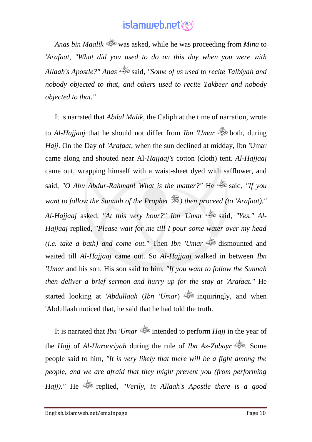*Anas bin Maalik* was asked, while he was proceeding from *Mina* to *'Arafaat*, *"What did you used to do on this day when you were with Allaah's Apostle?" Anas* said, *"Some of us used to recite Talbiyah and nobody objected to that, and others used to recite Takbeer and nobody objected to that."*

It is narrated that *Abdul Malik*, the Caliph at the time of narration, wrote to *Al-Hajjaaj* that he should not differ from *Ibn 'Umar* suboth, during *Hajj*. On the Day of *'Arafaat*, when the sun declined at midday, Ibn 'Umar came along and shouted near Al-*Hajjaaj's* cotton (cloth) tent. *Al-Hajjaaj* came out, wrapping himself with a waist-sheet dyed with safflower, and said, "O Abu Abdur-Rahman! What is the matter?" He said, "If you *want to follow the Sunnah of the Prophet ) then proceed (to 'Arafaat)." Al-Hajjaaj* asked, *"At this very hour?" Ibn 'Umar* said, *"Yes." Al-Hajjaaj* replied, *"Please wait for me till I pour some water over my head (i.e. take a bath) and come out.*" Then *Ibn 'Umar* dismounted and waited till *Al-Hajjaaj* came out. So *Al-Hajjaaj* walked in between *Ibn 'Umar* and his son. His son said to him, *"If you want to follow the Sunnah then deliver a brief sermon and hurry up for the stay at 'Arafaat."* He started looking at *'Abdullaah* (*Ibn 'Umar*) inquiringly, and when 'Abdullaah noticed that, he said that he had told the truth.

It is narrated that *Ibn 'Umar* intended to perform *Hajj* in the year of the *Hajj* of *Al-Harooriyah* during the rule of *Ibn Az-Zubayr* . Some people said to him, *"It is very likely that there will be a fight among the people, and we are afraid that they might prevent you (from performing Hajj)."* He replied, *"Verily, in Allaah's Apostle there is a good*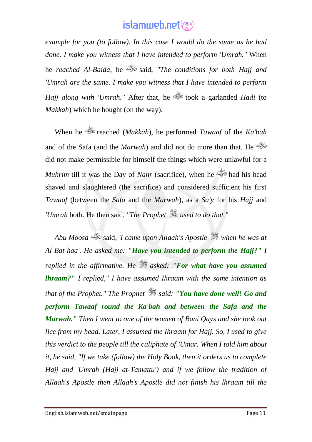*example for you (to follow). In this case I would do the same as he had done. I make you witness that I have intended to perform 'Umrah."* When he *reached Al-Baida*, he said, *"The conditions for both Hajj and 'Umrah are the same. I make you witness that I have intended to perform Hajj along with 'Umrah."* After that, he took a garlanded *Hadi* (to *Makkah*) which he bought (on the way).

When he reached (*Makkah*), he performed *Tawaaf* of the *Ka'bah* and of the Safa (and the *Marwah*) and did not do more than that. He did not make permissible for himself the things which were unlawful for a *Muhrim* till it was the Day of *Nahr* (sacrifice), when he shaved and slaughtered (the sacrifice) and considered sufficient his first *Tawaaf* (between the *Safa* and the *Marwah*), as a *Sa'y* for his *Hajj* and *'Umrah* both. He then said, *"The Prophet used to do that."*

*Abu Moosa* said, *'I came upon Allaah's Apostle when he was at Al-Bat-haa'. He asked me: "Have you intended to perform the Hajj?" I replied in the affirmative. He asked: "For what have you assumed lhraam?" I replied," I have assumed Ihraam with the same intention as that of the Prophet." The Prophet said: "You have done well! Go and perform Tawaaf round the Ka'bah and between the Safa and the Marwah." Then I went to one of the women of Bani Qays and she took out lice from my head. Later, I assumed the Ihraam for Hajj. So, I used to give this verdict to the people till the caliphate of 'Umar. When I told him about it, he said, "If we take (follow) the Holy Book, then it orders us to complete Hajj and 'Umrah (Hajj at-Tamattu') and if we follow the tradition of Allaah's Apostle then Allaah's Apostle did not finish his lhraam till the*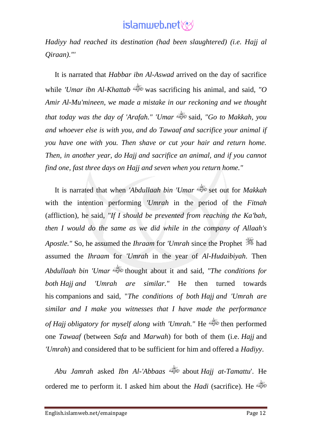*Hadiyy had reached its destination (had been slaughtered) (i.e. Hajj al Qiraan)."'*

It is narrated that *Habbar ibn Al-Aswad* arrived on the day of sacrifice while *'Umar ibn Al-Khattab* was sacrificing his animal, and said, *"O Amir Al-Mu'mineen, we made a mistake in our reckoning and we thought that today was the day of 'Arafah." 'Umar* said, *"Go to Makkah, you and whoever else is with you, and do Tawaaf and sacrifice your animal if you have one with you. Then shave or cut your hair and return home. Then, in another year, do Hajj and sacrifice an animal, and if you cannot find one, fast three days on Hajj and seven when you return home."*

It is narrated that when *'Abdullaah bin 'Umar* set out for *Makkah* with the intention performing *'Umrah* in the period of the *Fitnah* (affliction), he said, *"If I should be prevented from reaching the Ka'bah, then I would do the same as we did while in the company of Allaah's Apostle."* So, he assumed the *Ihraam* for *'Umrah* since the Prophet  $\frac{1}{200}$  had assumed the *Ihraam* for *'Umrah* in the year of *Al-Hudaibiyah*. Then *Abdullaah bin 'Umar* thought about it and said, *"The conditions for both Hajj and 'Umrah are similar."* He then turned towards his companions and said, "*The conditions of both Hajj and 'Umrah are similar and I make you witnesses that I have made the performance of Hajj obligatory for myself along with 'Umrah."* He then performed one *Tawaaf* (between *Safa* and *Marwah*) for both of them (i.e. *Hajj* and *'Umrah*) and considered that to be sufficient for him and offered a *Hadiyy*.

*Abu Jamrah* asked *Ibn Al-'Abbaas* about *Hajj at-Tamattu*'. He ordered me to perform it. I asked him about the *Hadi* (sacrifice). He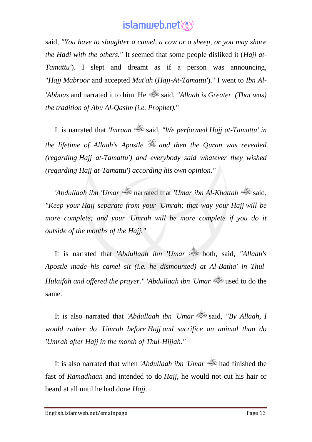said, *"You have to slaughter a camel, a cow or a sheep, or you may share the Hadi with the others."* It seemed that some people disliked it (*Hajj at-Tamattu'*). I slept and dreamt as if a person was announcing, "*Hajj Mabroor* and accepted *Mut'ah* (*Hajj-At-Tamattu'*)." I went to *Ibn Al- 'Abbaas* and narrated it to him. He said, *"Allaah is Greater. (That was) the tradition of Abu Al-Qasim (i.e. Prophet).*"

It is narrated that *'Imraan* said, *"We performed Hajj at-Tamattu' in the lifetime of Allaah's Apostle and then the Quran was revealed (regarding Hajj at-Tamattu') and everybody said whatever they wished (regarding Hajj at-Tamattu') according his own opinion."*

*'Abdullaah ibn 'Umar* narrated that *'Umar ibn Al-Khattab* said, *"Keep your Hajj separate from your 'Umrah; that way your Hajj will be more complete; and your 'Umrah will be more complete if you do it outside of the months of the Hajj."*

It is narrated that *'Abdullaah ibn 'Umar* is both, said, "Allaah's *Apostle made his camel sit (i.e. he dismounted) at Al-Batha' in Thul-Hulaifah and offered the prayer." 'Abdullaah ibn 'Umar* used to do the same.

It is also narrated that *'Abdullaah ibn 'Umar* said, *"By Allaah, I would rather do 'Umrah before Hajj and sacrifice an animal than do 'Umrah after Hajj in the month of Thul-Hijjah."*

It is also narrated that when *'Abdullaah ibn 'Umar* had finished the fast of *Ramadhaan* and intended to do *Hajj*, he would not cut his hair or beard at all until he had done *Hajj*.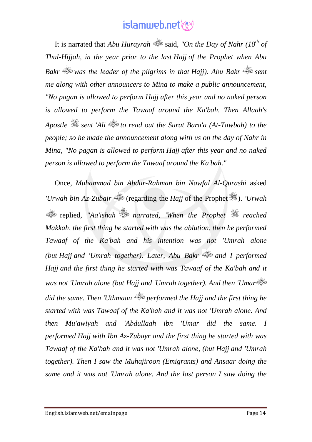It is narrated that *Abu Hurayrah* said, *"On the Day of Nahr (10th of Thul-Hijjah, in the year prior to the last Hajj of the Prophet when Abu Bakr was the leader of the pilgrims in that Hajj). Abu Bakr sent me along with other announcers to Mina to make a public announcement, "No pagan is allowed to perform Hajj after this year and no naked person is allowed to perform the Tawaaf around the Ka'bah. Then Allaah's Apostle sent 'Ali to read out the Surat Bara'a (At-Tawbah) to the people; so he made the announcement along with us on the day of Nahr in Mina, "No pagan is allowed to perform Hajj after this year and no naked person is allowed to perform the Tawaaf around the Ka'bah."*

Once, *Muhammad bin Abdur-Rahman bin Nawfal Al-Qurashi* asked *'Urwah bin Az-Zubair* (regarding the *Hajj* of the Prophet ). *'Urwah* replied, *"Aa'ishah narrated, 'When the Prophet reached Makkah, the first thing he started with was the ablution, then he performed Tawaaf of the Ka'bah and his intention was not 'Umrah alone (but Hajj and 'Umrah together). Later, Abu Bakr and I performed Hajj and the first thing he started with was Tawaaf of the Ka'bah and it was not 'Umrah alone (but Hajj and 'Umrah together). And then 'Umar did the same. Then 'Uthmaan performed the Hajj and the first thing he started with was Tawaaf of the Ka'bah and it was not 'Umrah alone. And then Mu'awiyah and 'Abdullaah ibn 'Umar did the same. I performed Hajj with Ibn Az-Zubayr and the first thing he started with was Tawaaf of the Ka'bah and it was not 'Umrah alone, (but Hajj and 'Umrah together). Then I saw the Muhajiroon (Emigrants) and Ansaar doing the same and it was not 'Umrah alone. And the last person I saw doing the*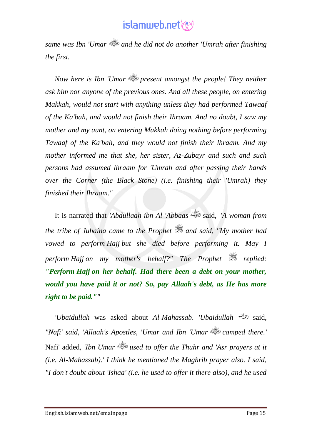*same was Ibn 'Umar and he did not do another 'Umrah after finishing the first.* 

*Now here is Ibn 'Umar present amongst the people! They neither ask him nor anyone of the previous ones. And all these people, on entering Makkah, would not start with anything unless they had performed Tawaaf of the Ka'bah, and would not finish their Ihraam. And no doubt, I saw my mother and my aunt, on entering Makkah doing nothing before performing Tawaaf of the Ka'bah, and they would not finish their lhraam. And my mother informed me that she, her sister, Az-Zubayr and such and such persons had assumed lhraam for 'Umrah and after passing their hands over the Corner (the Black Stone) (i.e. finishing their 'Umrah) they finished their Ihraam."*

It is narrated that *'Abdullaah ibn Al-'Abbaas* said, "*A woman from the tribe of Juhaina came to the Prophet and said, "My mother had vowed to perform Hajj but she died before performing it. May I perform Hajj on my mother's behalf?" The Prophet*  $\frac{dS}{dx}$  *replied: "Perform Hajj on her behalf. Had there been a debt on your mother, would you have paid it or not? So, pay Allaah's debt, as He has more right to be paid.""*

*'Ubaidullah* was asked about *Al-Mahassab*. *'Ubaidullah* said, *"Nafi' said, 'Allaah's Apostles, 'Umar and Ibn 'Umar camped there.'* Nafi' added, *'Ibn Umar used to offer the Thuhr and 'Asr prayers at it (i.e. Al-Mahassab).' I think he mentioned the Maghrib prayer also. I said, "I don't doubt about 'Ishaa' (i.e. he used to offer it there also), and he used*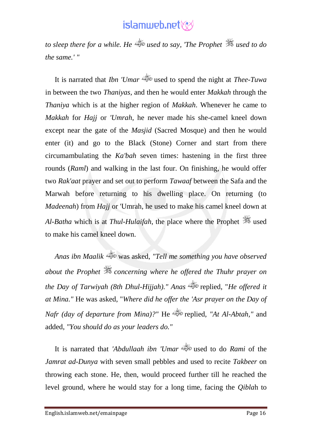*to sleep there for a while. He used to say, 'The Prophet used to do the same.' "*

It is narrated that *Ibn 'Umar* used to spend the night at *Thee-Tuwa* in between the two *Thaniyas*, and then he would enter *Makkah* through the *Thaniya* which is at the higher region of *Makkah*. Whenever he came to *Makkah* for *Hajj* or *'Umrah*, he never made his she-camel kneel down except near the gate of the *Masjid* (Sacred Mosque) and then he would enter (it) and go to the Black (Stone) Corner and start from there circumambulating the *Ka'bah* seven times: hastening in the first three rounds (*Raml*) and walking in the last four. On finishing, he would offer two *Rak'aat* prayer and set out to perform *Tawaaf* between the Safa and the Marwah before returning to his dwelling place. On returning (to *Madeenah*) from *Hajj* or 'Umrah, he used to make his camel kneel down at *Al-Batha* which is at *Thul-Hulaifah*, the place where the Prophet  $\frac{dE}{dt}$  used to make his camel kneel down.

*Anas ibn Maalik* was asked, *"Tell me something you have observed about the Prophet concerning where he offered the Thuhr prayer on the Day of Tarwiyah (8th Dhul-Hijjah)." Anas* replied, "*He offered it at Mina."* He was asked, "*Where did he offer the 'Asr prayer on the Day of Nafr (day of departure from Mina)?"* He replied, *"At Al-Abtah,"* and added, *"You should do as your leaders do."*

It is narrated that *'Abdullaah ibn 'Umar* used to do *Rami* of the *Jamrat ad-Dunya* with seven small pebbles and used to recite *Takbeer* on throwing each stone. He, then, would proceed further till he reached the level ground, where he would stay for a long time, facing the *Qibla*h to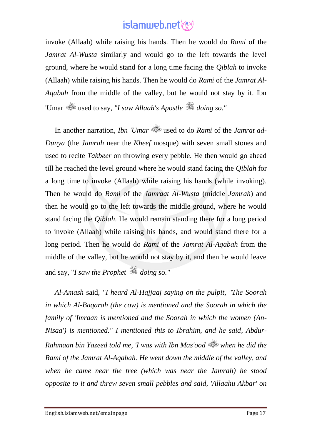invoke (Allaah) while raising his hands. Then he would do *Rami* of the *Jamrat Al-Wusta* similarly and would go to the left towards the level ground, where he would stand for a long time facing the *Qiblah* to invoke (Allaah) while raising his hands. Then he would do *Rami* of the *Jamrat Al-Aqabah* from the middle of the valley, but he would not stay by it. Ibn 'Umar used to say, *"I saw Allaah's Apostle doing so."*

In another narration, *Ibn 'Umar* used to do *Rami* of the *Jamrat ad-Dunya* (the *Jamrah* near the *Kheef* mosque) with seven small stones and used to recite *Takbeer* on throwing every pebble. He then would go ahead till he reached the level ground where he would stand facing the *Qiblah* for a long time to invoke (Allaah) while raising his hands (while invoking). Then he would do *Rami* of the *Jamraat Al-Wusta* (middle *Jamrah*) and then he would go to the left towards the middle ground, where he would stand facing the *Qiblah*. He would remain standing there for a long period to invoke (Allaah) while raising his hands, and would stand there for a long period. Then he would do *Rami* of the *Jamrat Al-Aqabah* from the middle of the valley, but he would not stay by it, and then he would leave and say, "*I saw the Prophet doing so."*

*Al-Amash* said, *"I heard Al-Hajjaaj saying on the pulpit, "The Soorah in which Al-Baqarah (the cow) is mentioned and the Soorah in which the family of 'Imraan is mentioned and the Soorah in which the women (An-Nisaa') is mentioned." I mentioned this to Ibrahim, and he said, Abdur-Rahmaan bin Yazeed told me, 'I was with Ibn Mas'ood when he did the Rami of the Jamrat Al-Aqabah. He went down the middle of the valley, and when he came near the tree (which was near the Jamrah) he stood opposite to it and threw seven small pebbles and said, 'Allaahu Akbar' on*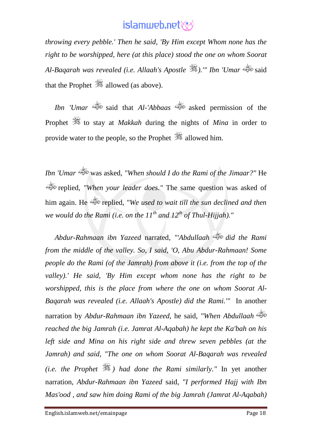*throwing every pebble.' Then he said, 'By Him except Whom none has the right to be worshipped, here (at this place) stood the one on whom Soorat Al-Baqarah was revealed (i.e. Allaah's Apostle ).'" Ibn 'Umar* said that the Prophet  $\frac{36}{25}$  allowed (as above).

*Ibn 'Umar* said that *Al-'Abbaas* asked permission of the Prophet  $\frac{36}{26}$  to stay at *Makkah* during the nights of *Mina* in order to provide water to the people, so the Prophet **allowed** him.

*Ibn 'Umar* was asked, *"When should I do the Rami of the Jimaar?"* He replied, *"When your leader does."* The same question was asked of him again. He replied, *"We used to wait till the sun declined and then we would do the Rami (i.e. on the 11th and 12th of Thul-Hijjah)."*

*Abdur-Rahmaan ibn Yazeed* narrated, *"'Abdullaah did the Rami from the middle of the valley. So, I said, 'O, Abu Abdur-Rahmaan! Some people do the Rami (of the Jamrah) from above it (i.e. from the top of the valley).' He said, 'By Him except whom none has the right to be worshipped, this is the place from where the one on whom Soorat Al-Baqarah was revealed (i.e. Allaah's Apostle) did the Rami.'"* In another narration by *Abdur-Rahmaan ibn Yazeed*, he said, *"When Abdullaah reached the big Jamrah (i.e. Jamrat Al-Aqabah) he kept the Ka'bah on his left side and Mina on his right side and threw seven pebbles (at the Jamrah) and said, "The one on whom Soorat Al-Baqarah was revealed (i.e. the Prophet ) had done the Rami similarly."* In yet another narration, *Abdur-Rahmaan ibn Yazeed* said, *"I performed Hajj with Ibn Mas'ood , and saw him doing Rami of the big Jamrah (Jamrat Al-Aqabah)*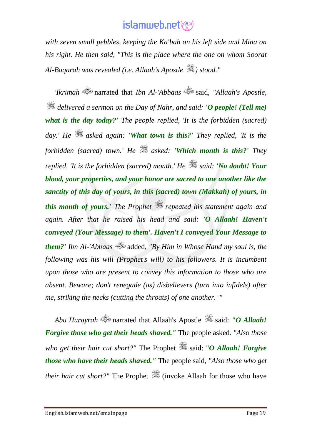*with seven small pebbles, keeping the Ka'bah on his left side and Mina on his right. He then said, "This is the place where the one on whom Soorat Al-Baqarah was revealed (i.e. Allaah's Apostle ) stood."*

*'Ikrimah* narrated that *Ibn Al-'Abbaas* said, *"Allaah's Apostle, delivered a sermon on the Day of Nahr, and said: 'O people! (Tell me) what is the day today?' The people replied, 'It is the forbidden (sacred) day.' He asked again: 'What town is this?' They replied, 'It is the forbidden (sacred) town.' He asked: 'Which month is this?' They replied, 'It is the forbidden (sacred) month.' He*  $\mathcal{L}$  *said: 'No doubt! Your blood, your properties, and your honor are sacred to one another like the sanctity of this day of yours, in this (sacred) town (Makkah) of yours, in this month of yours.' The Prophet repeated his statement again and again. After that he raised his head and said: 'O Allaah! Haven't conveyed (Your Message) to them'. Haven't I conveyed Your Message to them?' Ibn Al-'Abbaas* added, *"By Him in Whose Hand my soul is, the following was his will (Prophet's will) to his followers. It is incumbent upon those who are present to convey this information to those who are absent. Beware; don't renegade (as) disbelievers (turn into infidels) after me, striking the necks (cutting the throats) of one another.' "*

*Abu Hurayrah* narrated that Allaah's Apostle said: *"O Allaah! Forgive those who get their heads shaved."* The people asked. *"Also those who get their hair cut short?"* The Prophet  $\frac{1}{20}$  said: "*O Allaah! Forgive those who have their heads shaved."* The people said, *"Also those who get their hair cut short?"* The Prophet **(invoke Allaah for those who have**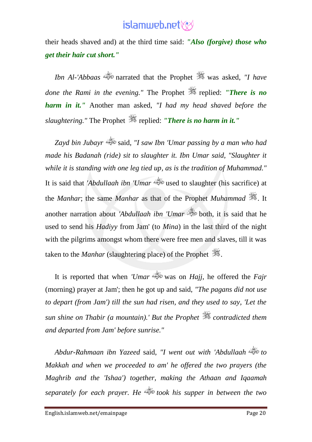their heads shaved and) at the third time said: *"Also (forgive) those who get their hair cut short."*

*Ibn Al-'Abbaas* narrated that the Prophet was asked, *"I have done the Rami in the evening."* The Prophet **Figure 12 is no** *harm in it."* Another man asked, *"I had my head shaved before the slaughtering."* The Prophet replied: *"There is no harm in it."*

*Zayd bin Jubayr* said, *"I saw Ibn 'Umar passing by a man who had made his Badanah (ride) sit to slaughter it. Ibn Umar said, "Slaughter it while it is standing with one leg tied up, as is the tradition of Muhammad."* It is said that *'Abdullaah ibn 'Umar* used to slaughter (his sacrifice) at the *Manhar*; the same *Manhar* as that of the Prophet *Muhammad* . It another narration about *'Abdullaah ibn 'Umar* is both, it is said that he used to send his *Hadiyy* from Jam' (to *Mina*) in the last third of the night with the pilgrims amongst whom there were free men and slaves, till it was taken to the *Manhar* (slaughtering place) of the Prophet  $\ddot{\mathcal{F}}$ .

It is reported that when *'Umar* was on *Hajj*, he offered the *Fajr* (morning) prayer at Jam'; then he got up and said, *"The pagans did not use to depart (from Jam') till the sun had risen, and they used to say, 'Let the sun shine on Thabir (a mountain).' But the Prophet*  $\mathcal{L}$  *contradicted them and departed from Jam' before sunrise."*

*Abdur-Rahmaan ibn Yazeed* said, *"I went out with 'Abdullaah to Makkah and when we proceeded to am' he offered the two prayers (the Maghrib and the 'Ishaa') together, making the Athaan and Iqaamah separately for each prayer. He took his supper in between the two*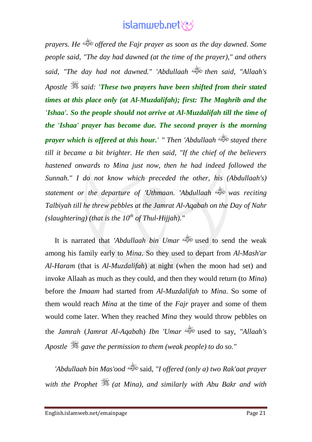*prayers. He offered the Fajr prayer as soon as the day dawned. Some people said, "The day had dawned (at the time of the prayer)," and others said, "The day had not dawned." 'Abdullaah then said, "Allaah's Apostle said: 'These two prayers have been shifted from their stated times at this place only (at Al-Muzdalifah); first: The Maghrib and the 'Ishaa'. So the people should not arrive at Al-Muzdalifah till the time of the 'Ishaa' prayer has become due. The second prayer is the morning prayer which is offered at this hour.' " Then 'Abdullaah stayed there till it became a bit brighter. He then said, "If the chief of the believers hastened onwards to Mina just now, then he had indeed followed the Sunnah." I do not know which preceded the other, his (Abdullaah's) statement or the departure of 'Uthmaan. 'Abdullaah was reciting Talbiyah till he threw pebbles at the Jamrat Al-Aqabah on the Day of Nahr (slaughtering) (that is the 10th of Thul-Hijjah)."*

It is narrated that *'Abdullaah bin Umar* used to send the weak among his family early to *Mina*. So they used to depart from *Al-Mash'ar Al-Haram* (that is *Al-Muzdalifah*) at night (when the moon had set) and invoke Allaah as much as they could, and then they would return (to *Mina*) before the *Imaam* had started from *Al-Muzdalifah* to *Mina*. So some of them would reach *Mina* at the time of the *Fajr* prayer and some of them would come later. When they reached *Mina* they would throw pebbles on the *Jamrah* (*Jamrat Al-Aqaba*h) *Ibn 'Umar* used to say, *"Allaah's Apostle gave the permission to them (weak people) to do so."*

*'Abdullaah bin Mas'ood* said, *"I offered (only a) two Rak'aat prayer with the Prophet (at Mina), and similarly with Abu Bakr and with*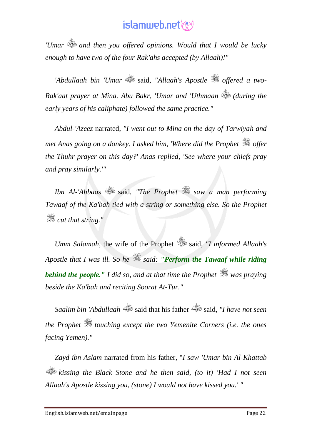*'Umar and then you offered opinions. Would that I would be lucky enough to have two of the four Rak'ahs accepted (by Allaah)!"*

*'Abdullaah bin 'Umar* said, *"Allaah's Apostle offered a two-Rak'aat prayer at Mina. Abu Bakr, 'Umar and 'Uthmaan (during the early years of his caliphate) followed the same practice."*

*Abdul-'Azeez* narrated, *"I went out to Mina on the day of Tarwiyah and met Anas going on a donkey. I asked him, 'Where did the Prophet*  $\frac{dS}{dx}$  offer *the Thuhr prayer on this day?' Anas replied, 'See where your chiefs pray and pray similarly.'"*

*Ibn Al-'Abbaas* said, *"The Prophet saw a man performing Tawaaf of the Ka'bah tied with a string or something else. So the Prophet cut that string."*

*Umm Salamah*, the wife of the Prophet said, "I informed Allaah's *Apostle that I was ill. So he said: "Perform the Tawaaf while riding behind the people." I did so, and at that time the Prophet was praying beside the Ka'bah and reciting Soorat At-Tur."*

*Saalim bin 'Abdullaah* said that his father said, *"I have not seen the Prophet touching except the two Yemenite Corners (i.e. the ones facing Yemen)."*

*Zayd ibn Aslam* narrated from his father, "*I saw 'Umar bin Al-Khattab kissing the Black Stone and he then said, (to it) 'Had I not seen Allaah's Apostle kissing you, (stone) I would not have kissed you.' "*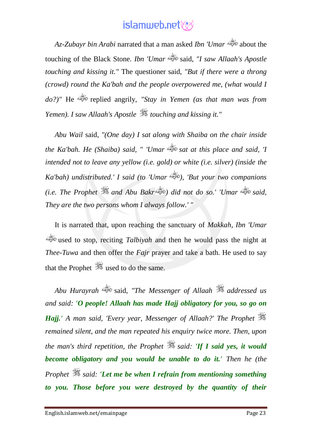*Az-Zubayr bin Arabi* narrated that a man asked *Ibn 'Umar* about the touching of the Black Stone. *Ibn 'Umar* said, *"I saw Allaah's Apostle touching and kissing it."* The questioner said, *"But if there were a throng (crowd) round the Ka'bah and the people overpowered me, (what would I do?)"* He replied angrily, *"Stay in Yemen (as that man was from Yemen). I saw Allaah's Apostle touching and kissing it."*

*Abu Wail* said, *"(One day) I sat along with Shaiba on the chair inside the Ka'bah. He (Shaiba) said, " 'Umar sat at this place and said, 'I intended not to leave any yellow (i.e. gold) or white (i.e. silver) (inside the Ka'bah) undistributed.' I said (to 'Umar ), 'But your two companions (i.e. The Prophet and Abu Bakr ) did not do so.' 'Umar said, They are the two persons whom I always follow.' "*

It is narrated that, upon reaching the sanctuary of *Makkah, Ibn 'Umar* used to stop, reciting *Talbiyah* and then he would pass the night at *Thee-Tuwa* and then offer the *Fajr* prayer and take a bath. He used to say that the Prophet  $\frac{360}{25}$  used to do the same.

*Abu Hurayrah* said, *"The Messenger of Allaah addressed us and said: 'O people! Allaah has made Hajj obligatory for you, so go on Hajj.' A man said, 'Every year, Messenger of Allaah?' The Prophet remained silent, and the man repeated his enquiry twice more. Then, upon the man's third repetition, the Prophet*  $\ddot{\mathscr{E}}$  *said: 'If I said yes, it would become obligatory and you would be unable to do it.' Then he (the Prophet said: 'Let me be when I refrain from mentioning something to you. Those before you were destroyed by the quantity of their*